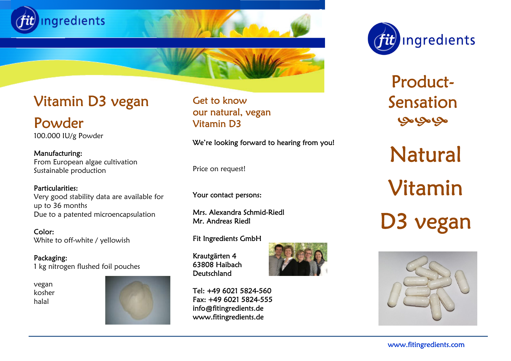



Product-Sensation مجامحامي

Natural Vitamin D3 vegan



# Vitamin D3 vegan

 Powder 100.000 IU/g Powder

 From European algae cultivation Manufacturing: Sustainable production

 Very good stability data are available for Due to a patented microencapsulation Particularities: up to 36 months

 Color: White to off-white / yellowish

Packaging: 1 kg nitrogen flushed foil pouches

vegan kosher halal



Get to know our natural, vegan Vitamin D3

We're looking forward to hearing from you!

Price on request!

Your contact persons:

Mrs. Alexandra Schmid-Riedl Mr. Andreas Riedl

Fit Ingredients GmbH

Krautgärten 4 63808 Haibach **Deutschland** 



Tel: +49 6021 5824-560 Fax: +49 6021 5824-555 info@fitingredients.de www.fitingredients.de

www.fitingredients.com